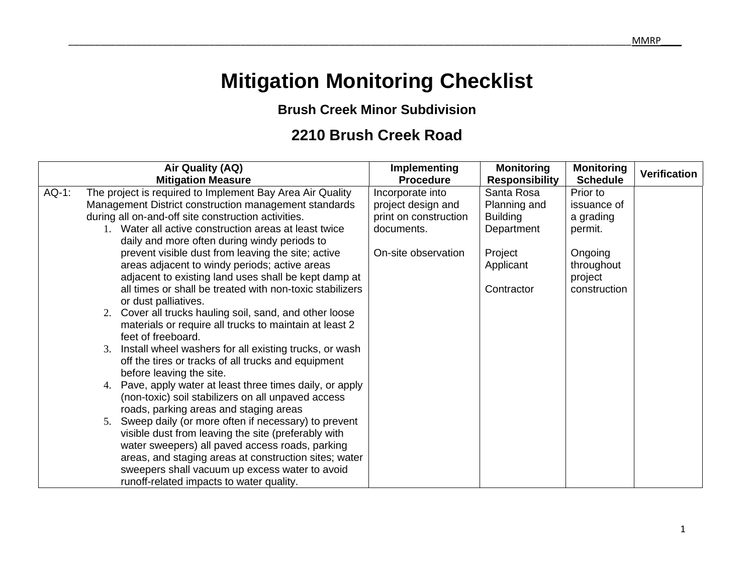## **Mitigation Monitoring Checklist**

## **Brush Creek Minor Subdivision**

## **2210 Brush Creek Road**

|          | Air Quality (AQ)                                          | Implementing          | <b>Monitoring</b>     | <b>Monitoring</b> | <b>Verification</b> |
|----------|-----------------------------------------------------------|-----------------------|-----------------------|-------------------|---------------------|
|          | <b>Mitigation Measure</b>                                 | <b>Procedure</b>      | <b>Responsibility</b> | <b>Schedule</b>   |                     |
| $AQ-1$ : | The project is required to Implement Bay Area Air Quality | Incorporate into      | Santa Rosa            | Prior to          |                     |
|          | Management District construction management standards     | project design and    | Planning and          | issuance of       |                     |
|          | during all on-and-off site construction activities.       | print on construction | <b>Building</b>       | a grading         |                     |
|          | 1. Water all active construction areas at least twice     | documents.            | Department            | permit.           |                     |
|          | daily and more often during windy periods to              |                       |                       |                   |                     |
|          | prevent visible dust from leaving the site; active        | On-site observation   | Project               | Ongoing           |                     |
|          | areas adjacent to windy periods; active areas             |                       | Applicant             | throughout        |                     |
|          | adjacent to existing land uses shall be kept damp at      |                       |                       | project           |                     |
|          | all times or shall be treated with non-toxic stabilizers  |                       | Contractor            | construction      |                     |
|          | or dust palliatives.                                      |                       |                       |                   |                     |
|          | 2. Cover all trucks hauling soil, sand, and other loose   |                       |                       |                   |                     |
|          | materials or require all trucks to maintain at least 2    |                       |                       |                   |                     |
|          | feet of freeboard.                                        |                       |                       |                   |                     |
|          | 3. Install wheel washers for all existing trucks, or wash |                       |                       |                   |                     |
|          | off the tires or tracks of all trucks and equipment       |                       |                       |                   |                     |
|          | before leaving the site.                                  |                       |                       |                   |                     |
|          | 4. Pave, apply water at least three times daily, or apply |                       |                       |                   |                     |
|          | (non-toxic) soil stabilizers on all unpaved access        |                       |                       |                   |                     |
|          | roads, parking areas and staging areas                    |                       |                       |                   |                     |
|          | 5. Sweep daily (or more often if necessary) to prevent    |                       |                       |                   |                     |
|          | visible dust from leaving the site (preferably with       |                       |                       |                   |                     |
|          | water sweepers) all paved access roads, parking           |                       |                       |                   |                     |
|          | areas, and staging areas at construction sites; water     |                       |                       |                   |                     |
|          | sweepers shall vacuum up excess water to avoid            |                       |                       |                   |                     |
|          | runoff-related impacts to water quality.                  |                       |                       |                   |                     |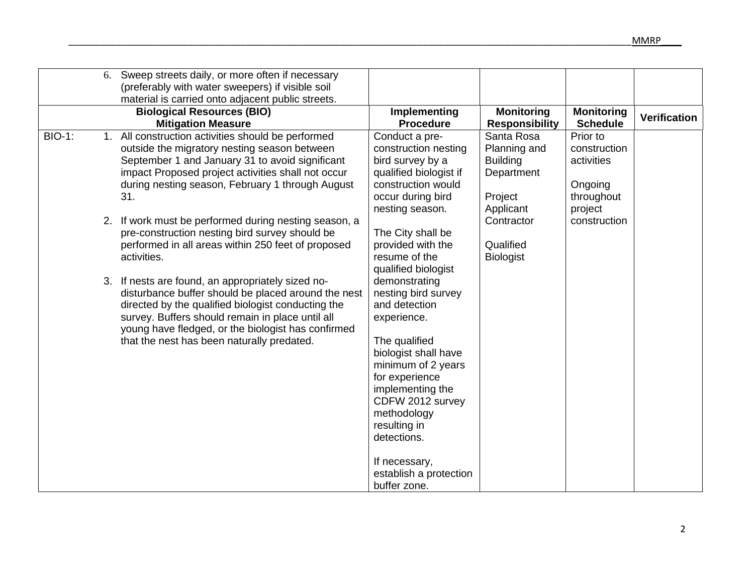|               | 6. Sweep streets daily, or more often if necessary<br>(preferably with water sweepers) if visible soil<br>material is carried onto adjacent public streets.<br><b>Biological Resources (BIO)</b><br><b>Mitigation Measure</b>                                                                                          | Implementing<br><b>Procedure</b>                                                                                                                                                                                                                             | <b>Monitoring</b><br><b>Responsibility</b>                                          | <b>Monitoring</b><br><b>Schedule</b>                                       | <b>Verification</b> |
|---------------|------------------------------------------------------------------------------------------------------------------------------------------------------------------------------------------------------------------------------------------------------------------------------------------------------------------------|--------------------------------------------------------------------------------------------------------------------------------------------------------------------------------------------------------------------------------------------------------------|-------------------------------------------------------------------------------------|----------------------------------------------------------------------------|---------------------|
| <b>BIO-1:</b> | 1. All construction activities should be performed<br>outside the migratory nesting season between<br>September 1 and January 31 to avoid significant<br>impact Proposed project activities shall not occur<br>during nesting season, February 1 through August<br>31.                                                 | Conduct a pre-<br>construction nesting<br>bird survey by a<br>qualified biologist if<br>construction would<br>occur during bird<br>nesting season.                                                                                                           | Santa Rosa<br>Planning and<br><b>Building</b><br>Department<br>Project<br>Applicant | Prior to<br>construction<br>activities<br>Ongoing<br>throughout<br>project |                     |
|               | 2. If work must be performed during nesting season, a<br>pre-construction nesting bird survey should be<br>performed in all areas within 250 feet of proposed<br>activities.                                                                                                                                           | The City shall be<br>provided with the<br>resume of the<br>qualified biologist                                                                                                                                                                               | Contractor<br>Qualified<br><b>Biologist</b>                                         | construction                                                               |                     |
|               | 3. If nests are found, an appropriately sized no-<br>disturbance buffer should be placed around the nest<br>directed by the qualified biologist conducting the<br>survey. Buffers should remain in place until all<br>young have fledged, or the biologist has confirmed<br>that the nest has been naturally predated. | demonstrating<br>nesting bird survey<br>and detection<br>experience.<br>The qualified<br>biologist shall have<br>minimum of 2 years<br>for experience<br>implementing the<br>CDFW 2012 survey<br>methodology<br>resulting in<br>detections.<br>If necessary, |                                                                                     |                                                                            |                     |
|               |                                                                                                                                                                                                                                                                                                                        | establish a protection<br>buffer zone.                                                                                                                                                                                                                       |                                                                                     |                                                                            |                     |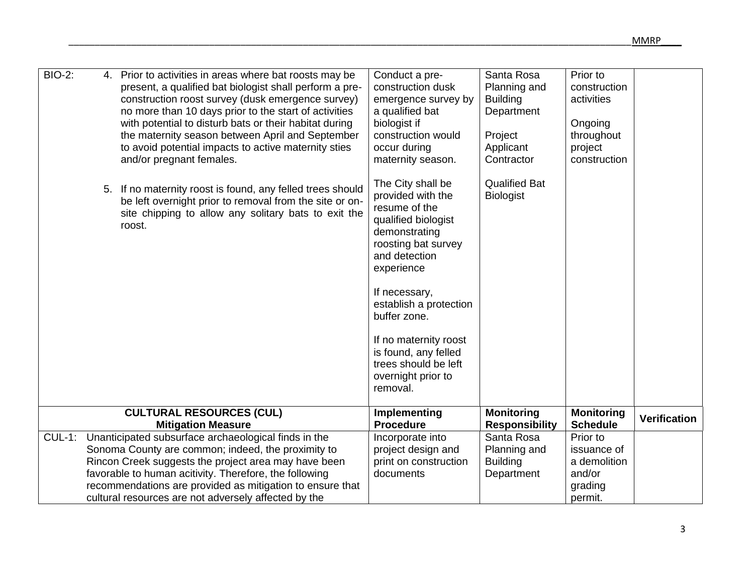| <b>BIO-2:</b> | 4. Prior to activities in areas where bat roosts may be<br>present, a qualified bat biologist shall perform a pre-<br>construction roost survey (dusk emergence survey)<br>no more than 10 days prior to the start of activities<br>with potential to disturb bats or their habitat during<br>the maternity season between April and September<br>to avoid potential impacts to active maternity sties<br>and/or pregnant females.<br>5. If no maternity roost is found, any felled trees should<br>be left overnight prior to removal from the site or on-<br>site chipping to allow any solitary bats to exit the<br>roost. | Conduct a pre-<br>construction dusk<br>emergence survey by<br>a qualified bat<br>biologist if<br>construction would<br>occur during<br>maternity season.<br>The City shall be<br>provided with the<br>resume of the<br>qualified biologist<br>demonstrating<br>roosting bat survey<br>and detection<br>experience<br>If necessary,<br>establish a protection<br>buffer zone.<br>If no maternity roost<br>is found, any felled<br>trees should be left<br>overnight prior to<br>removal. | Santa Rosa<br>Planning and<br><b>Building</b><br>Department<br>Project<br>Applicant<br>Contractor<br><b>Qualified Bat</b><br><b>Biologist</b> | Prior to<br>construction<br>activities<br>Ongoing<br>throughout<br>project<br>construction |                     |
|---------------|-------------------------------------------------------------------------------------------------------------------------------------------------------------------------------------------------------------------------------------------------------------------------------------------------------------------------------------------------------------------------------------------------------------------------------------------------------------------------------------------------------------------------------------------------------------------------------------------------------------------------------|-----------------------------------------------------------------------------------------------------------------------------------------------------------------------------------------------------------------------------------------------------------------------------------------------------------------------------------------------------------------------------------------------------------------------------------------------------------------------------------------|-----------------------------------------------------------------------------------------------------------------------------------------------|--------------------------------------------------------------------------------------------|---------------------|
|               | <b>CULTURAL RESOURCES (CUL)</b>                                                                                                                                                                                                                                                                                                                                                                                                                                                                                                                                                                                               | Implementing<br><b>Procedure</b>                                                                                                                                                                                                                                                                                                                                                                                                                                                        | <b>Monitoring</b>                                                                                                                             | <b>Monitoring</b><br><b>Schedule</b>                                                       | <b>Verification</b> |
|               | <b>Mitigation Measure</b>                                                                                                                                                                                                                                                                                                                                                                                                                                                                                                                                                                                                     |                                                                                                                                                                                                                                                                                                                                                                                                                                                                                         | <b>Responsibility</b>                                                                                                                         |                                                                                            |                     |
| $CUL-1$ :     | Unanticipated subsurface archaeological finds in the                                                                                                                                                                                                                                                                                                                                                                                                                                                                                                                                                                          | Incorporate into                                                                                                                                                                                                                                                                                                                                                                                                                                                                        | Santa Rosa                                                                                                                                    | Prior to                                                                                   |                     |
|               | Sonoma County are common; indeed, the proximity to                                                                                                                                                                                                                                                                                                                                                                                                                                                                                                                                                                            | project design and                                                                                                                                                                                                                                                                                                                                                                                                                                                                      | Planning and                                                                                                                                  | issuance of                                                                                |                     |
|               | Rincon Creek suggests the project area may have been                                                                                                                                                                                                                                                                                                                                                                                                                                                                                                                                                                          | print on construction                                                                                                                                                                                                                                                                                                                                                                                                                                                                   | <b>Building</b>                                                                                                                               | a demolition                                                                               |                     |
|               | favorable to human acitivity. Therefore, the following                                                                                                                                                                                                                                                                                                                                                                                                                                                                                                                                                                        | documents                                                                                                                                                                                                                                                                                                                                                                                                                                                                               | Department                                                                                                                                    | and/or                                                                                     |                     |
|               | recommendations are provided as mitigation to ensure that                                                                                                                                                                                                                                                                                                                                                                                                                                                                                                                                                                     |                                                                                                                                                                                                                                                                                                                                                                                                                                                                                         |                                                                                                                                               | grading                                                                                    |                     |
|               | cultural resources are not adversely affected by the                                                                                                                                                                                                                                                                                                                                                                                                                                                                                                                                                                          |                                                                                                                                                                                                                                                                                                                                                                                                                                                                                         |                                                                                                                                               | permit.                                                                                    |                     |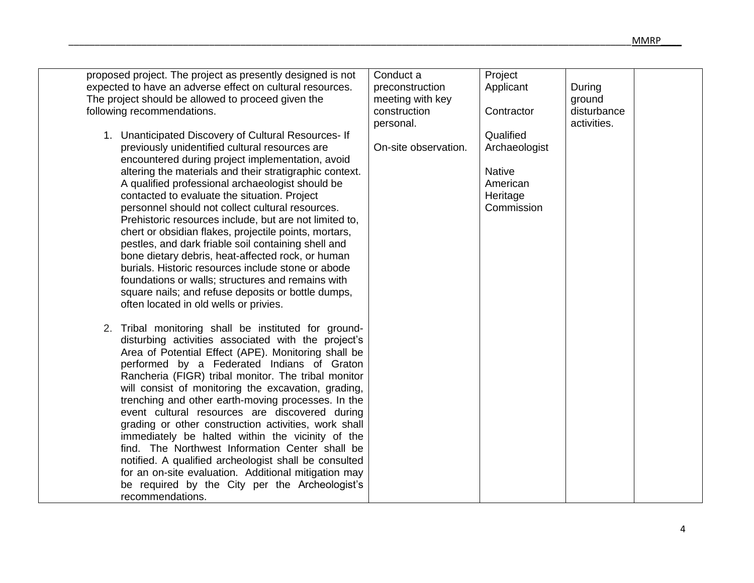| proposed project. The project as presently designed is not<br>expected to have an adverse effect on cultural resources. | Conduct a<br>preconstruction | Project<br>Applicant | During      |  |
|-------------------------------------------------------------------------------------------------------------------------|------------------------------|----------------------|-------------|--|
| The project should be allowed to proceed given the                                                                      | meeting with key             |                      | ground      |  |
| following recommendations.                                                                                              | construction                 | Contractor           | disturbance |  |
|                                                                                                                         | personal.                    |                      | activities. |  |
| 1. Unanticipated Discovery of Cultural Resources- If                                                                    |                              | Qualified            |             |  |
| previously unidentified cultural resources are                                                                          | On-site observation.         | Archaeologist        |             |  |
| encountered during project implementation, avoid                                                                        |                              |                      |             |  |
| altering the materials and their stratigraphic context.                                                                 |                              | <b>Native</b>        |             |  |
| A qualified professional archaeologist should be                                                                        |                              | American             |             |  |
| contacted to evaluate the situation. Project                                                                            |                              | Heritage             |             |  |
| personnel should not collect cultural resources.                                                                        |                              | Commission           |             |  |
| Prehistoric resources include, but are not limited to,                                                                  |                              |                      |             |  |
| chert or obsidian flakes, projectile points, mortars,                                                                   |                              |                      |             |  |
| pestles, and dark friable soil containing shell and                                                                     |                              |                      |             |  |
| bone dietary debris, heat-affected rock, or human                                                                       |                              |                      |             |  |
| burials. Historic resources include stone or abode                                                                      |                              |                      |             |  |
| foundations or walls; structures and remains with                                                                       |                              |                      |             |  |
| square nails; and refuse deposits or bottle dumps,                                                                      |                              |                      |             |  |
| often located in old wells or privies.                                                                                  |                              |                      |             |  |
| 2. Tribal monitoring shall be instituted for ground-                                                                    |                              |                      |             |  |
| disturbing activities associated with the project's                                                                     |                              |                      |             |  |
| Area of Potential Effect (APE). Monitoring shall be                                                                     |                              |                      |             |  |
| performed by a Federated Indians of Graton                                                                              |                              |                      |             |  |
| Rancheria (FIGR) tribal monitor. The tribal monitor                                                                     |                              |                      |             |  |
| will consist of monitoring the excavation, grading,                                                                     |                              |                      |             |  |
| trenching and other earth-moving processes. In the                                                                      |                              |                      |             |  |
| event cultural resources are discovered during                                                                          |                              |                      |             |  |
| grading or other construction activities, work shall                                                                    |                              |                      |             |  |
| immediately be halted within the vicinity of the                                                                        |                              |                      |             |  |
| find. The Northwest Information Center shall be                                                                         |                              |                      |             |  |
| notified. A qualified archeologist shall be consulted                                                                   |                              |                      |             |  |
| for an on-site evaluation. Additional mitigation may                                                                    |                              |                      |             |  |
| be required by the City per the Archeologist's                                                                          |                              |                      |             |  |
| recommendations.                                                                                                        |                              |                      |             |  |